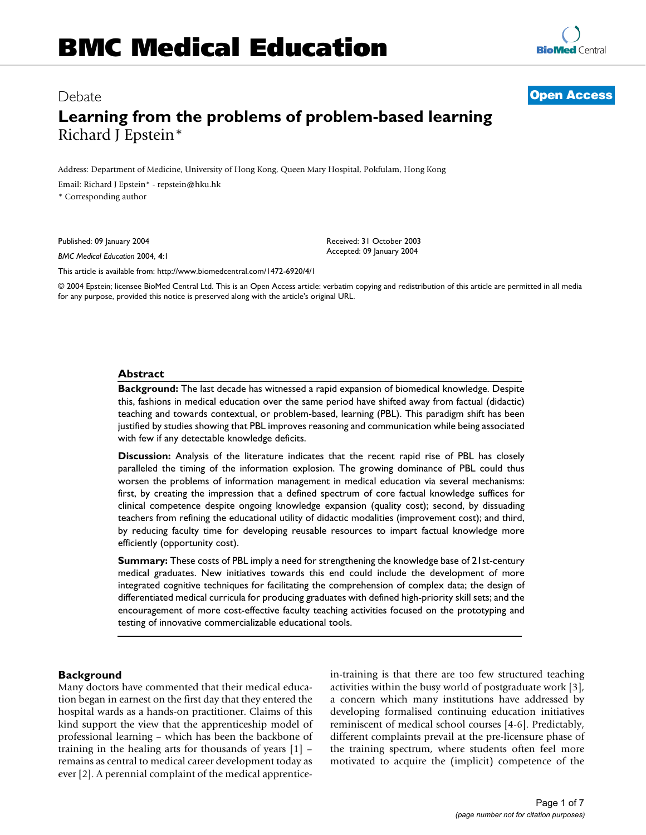# Debate **[Open Access](http://www.biomedcentral.com/info/about/charter/)**

# **Learning from the problems of problem-based learning** Richard J Epstein\*

Address: Department of Medicine, University of Hong Kong, Queen Mary Hospital, Pokfulam, Hong Kong

Email: Richard J Epstein\* - repstein@hku.hk

\* Corresponding author

Published: 09 January 2004

*BMC Medical Education* 2004, **4**:1

Received: 31 October 2003 Accepted: 09 January 2004

[This article is available from: http://www.biomedcentral.com/1472-6920/4/1](http://www.biomedcentral.com/1472-6920/4/1)

© 2004 Epstein; licensee BioMed Central Ltd. This is an Open Access article: verbatim copying and redistribution of this article are permitted in all media for any purpose, provided this notice is preserved along with the article's original URL.

#### **Abstract**

**Background:** The last decade has witnessed a rapid expansion of biomedical knowledge. Despite this, fashions in medical education over the same period have shifted away from factual (didactic) teaching and towards contextual, or problem-based, learning (PBL). This paradigm shift has been justified by studies showing that PBL improves reasoning and communication while being associated with few if any detectable knowledge deficits.

**Discussion:** Analysis of the literature indicates that the recent rapid rise of PBL has closely paralleled the timing of the information explosion. The growing dominance of PBL could thus worsen the problems of information management in medical education via several mechanisms: first, by creating the impression that a defined spectrum of core factual knowledge suffices for clinical competence despite ongoing knowledge expansion (quality cost); second, by dissuading teachers from refining the educational utility of didactic modalities (improvement cost); and third, by reducing faculty time for developing reusable resources to impart factual knowledge more efficiently (opportunity cost).

**Summary:** These costs of PBL imply a need for strengthening the knowledge base of 21st-century medical graduates. New initiatives towards this end could include the development of more integrated cognitive techniques for facilitating the comprehension of complex data; the design of differentiated medical curricula for producing graduates with defined high-priority skill sets; and the encouragement of more cost-effective faculty teaching activities focused on the prototyping and testing of innovative commercializable educational tools.

### **Background**

Many doctors have commented that their medical education began in earnest on the first day that they entered the hospital wards as a hands-on practitioner. Claims of this kind support the view that the apprenticeship model of professional learning – which has been the backbone of training in the healing arts for thousands of years [1] – remains as central to medical career development today as ever [2]. A perennial complaint of the medical apprenticein-training is that there are too few structured teaching activities within the busy world of postgraduate work [3], a concern which many institutions have addressed by developing formalised continuing education initiatives reminiscent of medical school courses [4-6]. Predictably, different complaints prevail at the pre-licensure phase of the training spectrum, where students often feel more motivated to acquire the (implicit) competence of the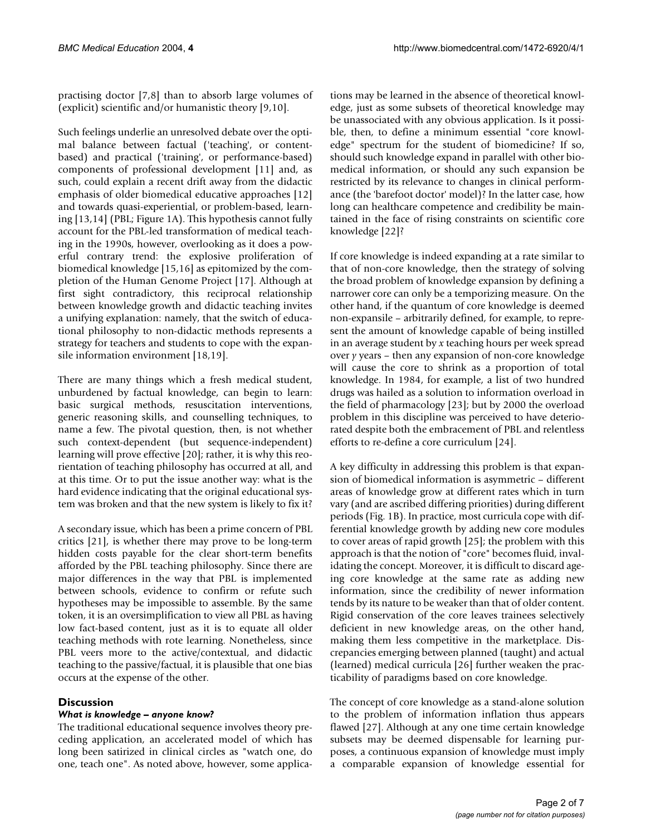practising doctor [7,8] than to absorb large volumes of (explicit) scientific and/or humanistic theory [9,10].

Such feelings underlie an unresolved debate over the optimal balance between factual ('teaching', or contentbased) and practical ('training', or performance-based) components of professional development [11] and, as such, could explain a recent drift away from the didactic emphasis of older biomedical educative approaches [12] and towards quasi-experiential, or problem-based, learning [13,14] (PBL; Figure [1](#page-2-0)A). This hypothesis cannot fully account for the PBL-led transformation of medical teaching in the 1990s, however, overlooking as it does a powerful contrary trend: the explosive proliferation of biomedical knowledge [15,16] as epitomized by the completion of the Human Genome Project [17]. Although at first sight contradictory, this reciprocal relationship between knowledge growth and didactic teaching invites a unifying explanation: namely, that the switch of educational philosophy to non-didactic methods represents a strategy for teachers and students to cope with the expansile information environment [18,19].

There are many things which a fresh medical student, unburdened by factual knowledge, can begin to learn: basic surgical methods, resuscitation interventions, generic reasoning skills, and counselling techniques, to name a few. The pivotal question, then, is not whether such context-dependent (but sequence-independent) learning will prove effective [20]; rather, it is why this reorientation of teaching philosophy has occurred at all, and at this time. Or to put the issue another way: what is the hard evidence indicating that the original educational system was broken and that the new system is likely to fix it?

A secondary issue, which has been a prime concern of PBL critics [21], is whether there may prove to be long-term hidden costs payable for the clear short-term benefits afforded by the PBL teaching philosophy. Since there are major differences in the way that PBL is implemented between schools, evidence to confirm or refute such hypotheses may be impossible to assemble. By the same token, it is an oversimplification to view all PBL as having low fact-based content, just as it is to equate all older teaching methods with rote learning. Nonetheless, since PBL veers more to the active/contextual, and didactic teaching to the passive/factual, it is plausible that one bias occurs at the expense of the other.

# **Discussion**

# *What is knowledge – anyone know?*

The traditional educational sequence involves theory preceding application, an accelerated model of which has long been satirized in clinical circles as "watch one, do one, teach one". As noted above, however, some applications may be learned in the absence of theoretical knowledge, just as some subsets of theoretical knowledge may be unassociated with any obvious application. Is it possible, then, to define a minimum essential "core knowledge" spectrum for the student of biomedicine? If so, should such knowledge expand in parallel with other biomedical information, or should any such expansion be restricted by its relevance to changes in clinical performance (the 'barefoot doctor' model)? In the latter case, how long can healthcare competence and credibility be maintained in the face of rising constraints on scientific core knowledge [22]?

If core knowledge is indeed expanding at a rate similar to that of non-core knowledge, then the strategy of solving the broad problem of knowledge expansion by defining a narrower core can only be a temporizing measure. On the other hand, if the quantum of core knowledge is deemed non-expansile – arbitrarily defined, for example, to represent the amount of knowledge capable of being instilled in an average student by *x* teaching hours per week spread over *y* years – then any expansion of non-core knowledge will cause the core to shrink as a proportion of total knowledge. In 1984, for example, a list of two hundred drugs was hailed as a solution to information overload in the field of pharmacology [23]; but by 2000 the overload problem in this discipline was perceived to have deteriorated despite both the embracement of PBL and relentless efforts to re-define a core curriculum [24].

A key difficulty in addressing this problem is that expansion of biomedical information is asymmetric – different areas of knowledge grow at different rates which in turn vary (and are ascribed differing priorities) during different periods (Fig. [1B](#page-2-0)). In practice, most curricula cope with differential knowledge growth by adding new core modules to cover areas of rapid growth [25]; the problem with this approach is that the notion of "core" becomes fluid, invalidating the concept. Moreover, it is difficult to discard ageing core knowledge at the same rate as adding new information, since the credibility of newer information tends by its nature to be weaker than that of older content. Rigid conservation of the core leaves trainees selectively deficient in new knowledge areas, on the other hand, making them less competitive in the marketplace. Discrepancies emerging between planned (taught) and actual (learned) medical curricula [26] further weaken the practicability of paradigms based on core knowledge.

The concept of core knowledge as a stand-alone solution to the problem of information inflation thus appears flawed [27]. Although at any one time certain knowledge subsets may be deemed dispensable for learning purposes, a continuous expansion of knowledge must imply a comparable expansion of knowledge essential for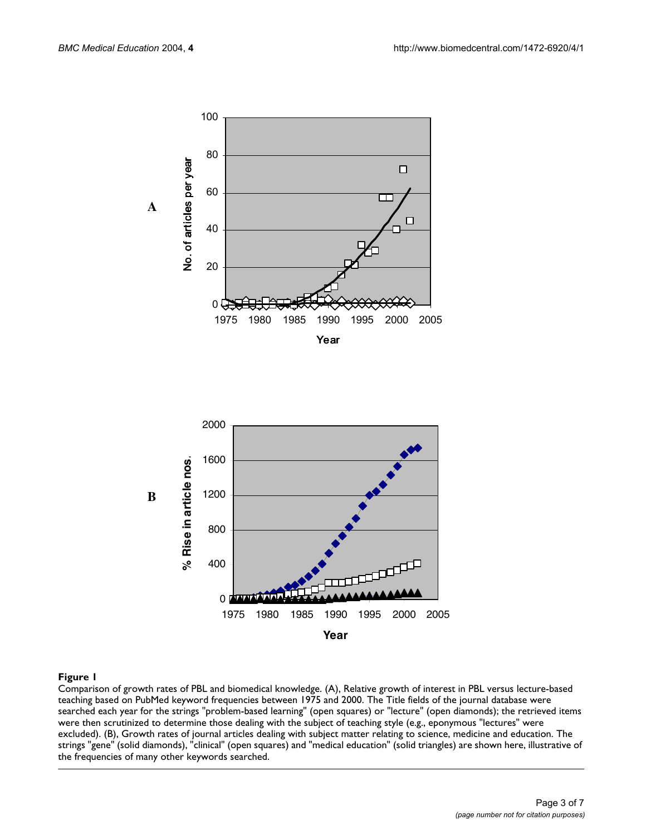<span id="page-2-0"></span>

## **Figure 1**

Comparison of growth rates of PBL and biomedical knowledge. (A), Relative growth of interest in PBL versus lecture-based teaching based on PubMed keyword frequencies between 1975 and 2000. The Title fields of the journal database were searched each year for the strings "problem-based learning" (open squares) or "lecture" (open diamonds); the retrieved items were then scrutinized to determine those dealing with the subject of teaching style (e.g., eponymous "lectures" were excluded). (B), Growth rates of journal articles dealing with subject matter relating to science, medicine and education. The strings "gene" (solid diamonds), "clinical" (open squares) and "medical education" (solid triangles) are shown here, illustrative of the frequencies of many other keywords searched.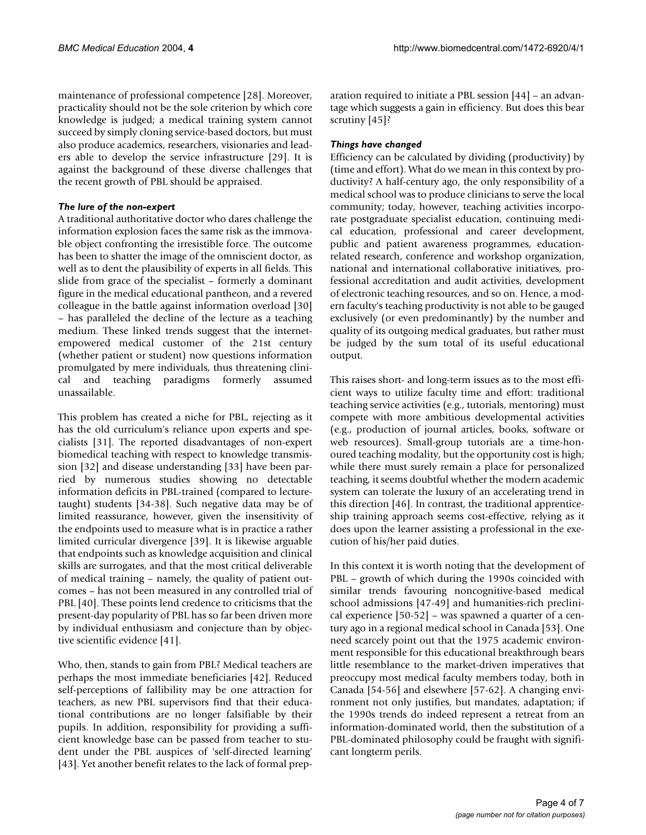maintenance of professional competence [28]. Moreover, practicality should not be the sole criterion by which core knowledge is judged; a medical training system cannot succeed by simply cloning service-based doctors, but must also produce academics, researchers, visionaries and leaders able to develop the service infrastructure [29]. It is against the background of these diverse challenges that the recent growth of PBL should be appraised.

# *The lure of the non-expert*

A traditional authoritative doctor who dares challenge the information explosion faces the same risk as the immovable object confronting the irresistible force. The outcome has been to shatter the image of the omniscient doctor, as well as to dent the plausibility of experts in all fields. This slide from grace of the specialist – formerly a dominant figure in the medical educational pantheon, and a revered colleague in the battle against information overload [30] – has paralleled the decline of the lecture as a teaching medium. These linked trends suggest that the internetempowered medical customer of the 21st century (whether patient or student) now questions information promulgated by mere individuals, thus threatening clinical and teaching paradigms formerly assumed unassailable.

This problem has created a niche for PBL, rejecting as it has the old curriculum's reliance upon experts and specialists [31]. The reported disadvantages of non-expert biomedical teaching with respect to knowledge transmission [32] and disease understanding [33] have been parried by numerous studies showing no detectable information deficits in PBL-trained (compared to lecturetaught) students [34-38]. Such negative data may be of limited reassurance, however, given the insensitivity of the endpoints used to measure what is in practice a rather limited curricular divergence [39]. It is likewise arguable that endpoints such as knowledge acquisition and clinical skills are surrogates, and that the most critical deliverable of medical training – namely, the quality of patient outcomes – has not been measured in any controlled trial of PBL [40]. These points lend credence to criticisms that the present-day popularity of PBL has so far been driven more by individual enthusiasm and conjecture than by objective scientific evidence [41].

Who, then, stands to gain from PBL? Medical teachers are perhaps the most immediate beneficiaries [42]. Reduced self-perceptions of fallibility may be one attraction for teachers, as new PBL supervisors find that their educational contributions are no longer falsifiable by their pupils. In addition, responsibility for providing a sufficient knowledge base can be passed from teacher to student under the PBL auspices of 'self-directed learning' [43]. Yet another benefit relates to the lack of formal preparation required to initiate a PBL session [44] – an advantage which suggests a gain in efficiency. But does this bear scrutiny [45]?

# *Things have changed*

Efficiency can be calculated by dividing (productivity) by (time and effort). What do we mean in this context by productivity? A half-century ago, the only responsibility of a medical school was to produce clinicians to serve the local community; today, however, teaching activities incorporate postgraduate specialist education, continuing medical education, professional and career development, public and patient awareness programmes, educationrelated research, conference and workshop organization, national and international collaborative initiatives, professional accreditation and audit activities, development of electronic teaching resources, and so on. Hence, a modern faculty's teaching productivity is not able to be gauged exclusively (or even predominantly) by the number and quality of its outgoing medical graduates, but rather must be judged by the sum total of its useful educational output.

This raises short- and long-term issues as to the most efficient ways to utilize faculty time and effort: traditional teaching service activities (e.g., tutorials, mentoring) must compete with more ambitious developmental activities (e.g., production of journal articles, books, software or web resources). Small-group tutorials are a time-honoured teaching modality, but the opportunity cost is high; while there must surely remain a place for personalized teaching, it seems doubtful whether the modern academic system can tolerate the luxury of an accelerating trend in this direction [46]. In contrast, the traditional apprenticeship training approach seems cost-effective, relying as it does upon the learner assisting a professional in the execution of his/her paid duties.

In this context it is worth noting that the development of PBL – growth of which during the 1990s coincided with similar trends favouring noncognitive-based medical school admissions [47-49] and humanities-rich preclinical experience [50-52] – was spawned a quarter of a century ago in a regional medical school in Canada [53]. One need scarcely point out that the 1975 academic environment responsible for this educational breakthrough bears little resemblance to the market-driven imperatives that preoccupy most medical faculty members today, both in Canada [54-56] and elsewhere [57-62]. A changing environment not only justifies, but mandates, adaptation; if the 1990s trends do indeed represent a retreat from an information-dominated world, then the substitution of a PBL-dominated philosophy could be fraught with significant longterm perils.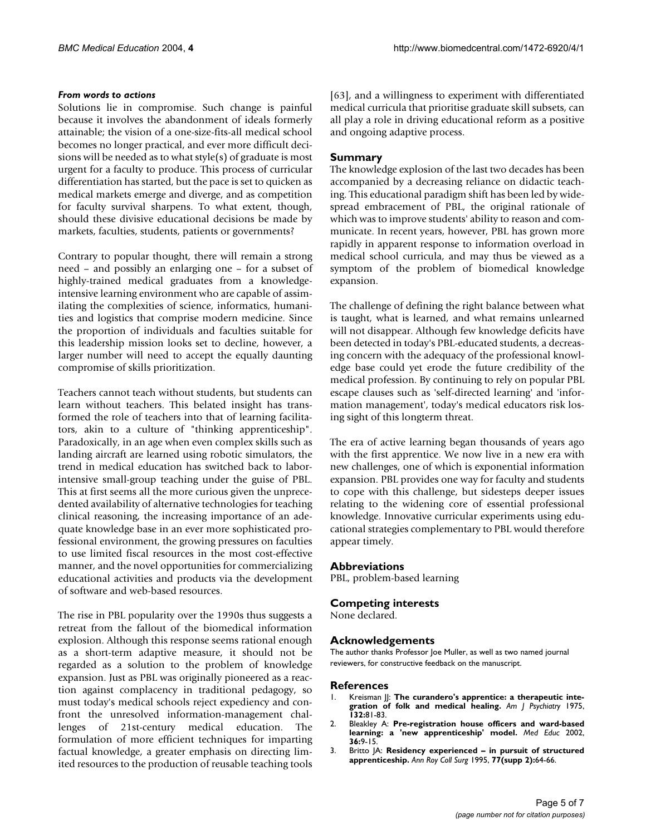## *From words to actions*

Solutions lie in compromise. Such change is painful because it involves the abandonment of ideals formerly attainable; the vision of a one-size-fits-all medical school becomes no longer practical, and ever more difficult decisions will be needed as to what style(s) of graduate is most urgent for a faculty to produce. This process of curricular differentiation has started, but the pace is set to quicken as medical markets emerge and diverge, and as competition for faculty survival sharpens. To what extent, though, should these divisive educational decisions be made by markets, faculties, students, patients or governments?

Contrary to popular thought, there will remain a strong need – and possibly an enlarging one – for a subset of highly-trained medical graduates from a knowledgeintensive learning environment who are capable of assimilating the complexities of science, informatics, humanities and logistics that comprise modern medicine. Since the proportion of individuals and faculties suitable for this leadership mission looks set to decline, however, a larger number will need to accept the equally daunting compromise of skills prioritization.

Teachers cannot teach without students, but students can learn without teachers. This belated insight has transformed the role of teachers into that of learning facilitators, akin to a culture of "thinking apprenticeship". Paradoxically, in an age when even complex skills such as landing aircraft are learned using robotic simulators, the trend in medical education has switched back to laborintensive small-group teaching under the guise of PBL. This at first seems all the more curious given the unprecedented availability of alternative technologies for teaching clinical reasoning, the increasing importance of an adequate knowledge base in an ever more sophisticated professional environment, the growing pressures on faculties to use limited fiscal resources in the most cost-effective manner, and the novel opportunities for commercializing educational activities and products via the development of software and web-based resources.

The rise in PBL popularity over the 1990s thus suggests a retreat from the fallout of the biomedical information explosion. Although this response seems rational enough as a short-term adaptive measure, it should not be regarded as a solution to the problem of knowledge expansion. Just as PBL was originally pioneered as a reaction against complacency in traditional pedagogy, so must today's medical schools reject expediency and confront the unresolved information-management challenges of 21st-century medical education. The formulation of more efficient techniques for imparting factual knowledge, a greater emphasis on directing limited resources to the production of reusable teaching tools [63], and a willingness to experiment with differentiated medical curricula that prioritise graduate skill subsets, can all play a role in driving educational reform as a positive and ongoing adaptive process.

# **Summary**

The knowledge explosion of the last two decades has been accompanied by a decreasing reliance on didactic teaching. This educational paradigm shift has been led by widespread embracement of PBL, the original rationale of which was to improve students' ability to reason and communicate. In recent years, however, PBL has grown more rapidly in apparent response to information overload in medical school curricula, and may thus be viewed as a symptom of the problem of biomedical knowledge expansion.

The challenge of defining the right balance between what is taught, what is learned, and what remains unlearned will not disappear. Although few knowledge deficits have been detected in today's PBL-educated students, a decreasing concern with the adequacy of the professional knowledge base could yet erode the future credibility of the medical profession. By continuing to rely on popular PBL escape clauses such as 'self-directed learning' and 'information management', today's medical educators risk losing sight of this longterm threat.

The era of active learning began thousands of years ago with the first apprentice. We now live in a new era with new challenges, one of which is exponential information expansion. PBL provides one way for faculty and students to cope with this challenge, but sidesteps deeper issues relating to the widening core of essential professional knowledge. Innovative curricular experiments using educational strategies complementary to PBL would therefore appear timely.

# **Abbreviations**

PBL, problem-based learning

# **Competing interests**

None declared.

# **Acknowledgements**

The author thanks Professor Joe Muller, as well as two named journal reviewers, for constructive feedback on the manuscript.

### **References**

- 1. Kreisman J: [The curandero's apprentice: a therapeutic inte](http://www.ncbi.nlm.nih.gov/entrez/query.fcgi?cmd=Retrieve&db=PubMed&dopt=Abstract&list_uids=1088843)**[gration of folk and medical healing.](http://www.ncbi.nlm.nih.gov/entrez/query.fcgi?cmd=Retrieve&db=PubMed&dopt=Abstract&list_uids=1088843)** *Am J Psychiatry* 1975, **132:**81-83.
- 2. Bleakley A: **[Pre-registration house officers and ward-based](http://www.ncbi.nlm.nih.gov/entrez/query.fcgi?cmd=Retrieve&db=PubMed&dopt=Abstract&list_uids=10.1046/j.1365-2923.2002.01128.x) [learning: a 'new apprenticeship' model](http://www.ncbi.nlm.nih.gov/entrez/query.fcgi?cmd=Retrieve&db=PubMed&dopt=Abstract&list_uids=10.1046/j.1365-2923.2002.01128.x)[.](http://www.ncbi.nlm.nih.gov/entrez/query.fcgi?cmd=Retrieve&db=PubMed&dopt=Abstract&list_uids=11849519)** *Med Educ* 2002, **36:**9-15.
- 3. Britto JA: **Residency experienced in pursuit of structured apprenticeship.** *Ann Roy Coll Surg* 1995, **77(supp 2):**64-66.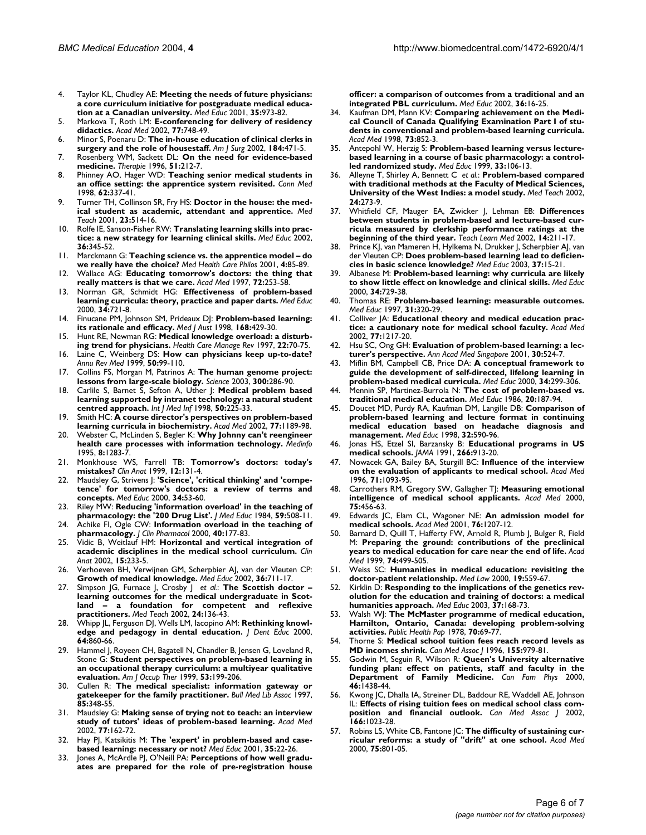- 4. Taylor KL, Chudley AE: **[Meeting the needs of future physicians:](http://www.ncbi.nlm.nih.gov/entrez/query.fcgi?cmd=Retrieve&db=PubMed&dopt=Abstract&list_uids=10.1046/j.1365-2923.2001.01021.x) [a core curriculum initiative for postgraduate medical educa](http://www.ncbi.nlm.nih.gov/entrez/query.fcgi?cmd=Retrieve&db=PubMed&dopt=Abstract&list_uids=10.1046/j.1365-2923.2001.01021.x)[tion at a Canadian university](http://www.ncbi.nlm.nih.gov/entrez/query.fcgi?cmd=Retrieve&db=PubMed&dopt=Abstract&list_uids=10.1046/j.1365-2923.2001.01021.x)[.](http://www.ncbi.nlm.nih.gov/entrez/query.fcgi?cmd=Retrieve&db=PubMed&dopt=Abstract&list_uids=11564202)** *Med Educ* 2001, **35:**973-82.
- 5. Markova T, Roth LM: **[E-conferencing for delivery of residency](http://www.ncbi.nlm.nih.gov/entrez/query.fcgi?cmd=Retrieve&db=PubMed&dopt=Abstract&list_uids=12114169) [didactics.](http://www.ncbi.nlm.nih.gov/entrez/query.fcgi?cmd=Retrieve&db=PubMed&dopt=Abstract&list_uids=12114169)** *Acad Med* 2002, **77:**748-49.
- 6. Minor S, Poenaru D: **[The in-house education of clinical clerks in](http://www.ncbi.nlm.nih.gov/entrez/query.fcgi?cmd=Retrieve&db=PubMed&dopt=Abstract&list_uids=10.1016/S0002-9610(02)01001-2) [surgery and the role of housestaff](http://www.ncbi.nlm.nih.gov/entrez/query.fcgi?cmd=Retrieve&db=PubMed&dopt=Abstract&list_uids=10.1016/S0002-9610(02)01001-2)[.](http://www.ncbi.nlm.nih.gov/entrez/query.fcgi?cmd=Retrieve&db=PubMed&dopt=Abstract&list_uids=12433616)** *Am J Surg* 2002, **184:**471-5.
- 7. Rosenberg WM, Sackett DL: **[On the need for evidence-based](http://www.ncbi.nlm.nih.gov/entrez/query.fcgi?cmd=Retrieve&db=PubMed&dopt=Abstract&list_uids=8881108) [medicine.](http://www.ncbi.nlm.nih.gov/entrez/query.fcgi?cmd=Retrieve&db=PubMed&dopt=Abstract&list_uids=8881108)** *Therapie* 1996, **51:**212-7.
- 8. Phinney AO, Hager WD: **[Teaching senior medical students in](http://www.ncbi.nlm.nih.gov/entrez/query.fcgi?cmd=Retrieve&db=PubMed&dopt=Abstract&list_uids=9675993) [an office setting: the apprentice system revisited.](http://www.ncbi.nlm.nih.gov/entrez/query.fcgi?cmd=Retrieve&db=PubMed&dopt=Abstract&list_uids=9675993)** *Conn Med* 1998, **62:**337-41.
- 9. Turner TH, Collinson SR, Fry HS: **[Doctor in the house: the med](http://www.ncbi.nlm.nih.gov/entrez/query.fcgi?cmd=Retrieve&db=PubMed&dopt=Abstract&list_uids=10.1080/01421590126489)[ical student as academic, attendant and apprentice](http://www.ncbi.nlm.nih.gov/entrez/query.fcgi?cmd=Retrieve&db=PubMed&dopt=Abstract&list_uids=10.1080/01421590126489)[.](http://www.ncbi.nlm.nih.gov/entrez/query.fcgi?cmd=Retrieve&db=PubMed&dopt=Abstract&list_uids=12098375)** *Med Teach* 2001, **23:**514-16.
- 10. Rolfe IE, Sanson-Fisher RW: **[Translating learning skills into prac](http://www.ncbi.nlm.nih.gov/entrez/query.fcgi?cmd=Retrieve&db=PubMed&dopt=Abstract&list_uids=10.1046/j.1365-2923.2002.01170.x)[tice: a new strategy for learning clinical skills](http://www.ncbi.nlm.nih.gov/entrez/query.fcgi?cmd=Retrieve&db=PubMed&dopt=Abstract&list_uids=10.1046/j.1365-2923.2002.01170.x)[.](http://www.ncbi.nlm.nih.gov/entrez/query.fcgi?cmd=Retrieve&db=PubMed&dopt=Abstract&list_uids=11940175)** *Med Educ* 2002, **36:**345-52.
- 11. Marckmann G: **[Teaching science vs. the apprentice model do](http://www.ncbi.nlm.nih.gov/entrez/query.fcgi?cmd=Retrieve&db=PubMed&dopt=Abstract&list_uids=10.1023/A:1009956310614) [we really have the choice?](http://www.ncbi.nlm.nih.gov/entrez/query.fcgi?cmd=Retrieve&db=PubMed&dopt=Abstract&list_uids=10.1023/A:1009956310614)** *Med Health Care Philos* 2001, **4:**85-89.
- 12. Wallace AG: **[Educating tomorrow's doctors: the thing that](http://www.ncbi.nlm.nih.gov/entrez/query.fcgi?cmd=Retrieve&db=PubMed&dopt=Abstract&list_uids=9125939) [really matters is that we care.](http://www.ncbi.nlm.nih.gov/entrez/query.fcgi?cmd=Retrieve&db=PubMed&dopt=Abstract&list_uids=9125939)** *Acad Med* 1997, **72:**253-58.
- 13. Norman GR, Schmidt HG: **[Effectiveness of problem-based](http://www.ncbi.nlm.nih.gov/entrez/query.fcgi?cmd=Retrieve&db=PubMed&dopt=Abstract&list_uids=10.1046/j.1365-2923.2000.00749.x) [learning curricula: theory, practice and paper darts](http://www.ncbi.nlm.nih.gov/entrez/query.fcgi?cmd=Retrieve&db=PubMed&dopt=Abstract&list_uids=10.1046/j.1365-2923.2000.00749.x)[.](http://www.ncbi.nlm.nih.gov/entrez/query.fcgi?cmd=Retrieve&db=PubMed&dopt=Abstract&list_uids=10972750)** *Med Educ* 2000, **34:**721-8.
- 14. Finucane PM, Johnson SM, Prideaux DJ: **[Problem-based learning:](http://www.ncbi.nlm.nih.gov/entrez/query.fcgi?cmd=Retrieve&db=PubMed&dopt=Abstract&list_uids=9612452) [its rationale and efficacy.](http://www.ncbi.nlm.nih.gov/entrez/query.fcgi?cmd=Retrieve&db=PubMed&dopt=Abstract&list_uids=9612452)** *Med J Aust* 1998, **168:**429-30.
- 15. Hunt RE, Newman RG: **[Medical knowledge overload: a disturb](http://www.ncbi.nlm.nih.gov/entrez/query.fcgi?cmd=Retrieve&db=PubMed&dopt=Abstract&list_uids=9058088)[ing trend for physicians.](http://www.ncbi.nlm.nih.gov/entrez/query.fcgi?cmd=Retrieve&db=PubMed&dopt=Abstract&list_uids=9058088)** *Health Care Manage Rev* 1997, **22:**70-75.
- 16. Laine C, Weinberg DS: **[How can physicians keep up-to-date?](http://www.ncbi.nlm.nih.gov/entrez/query.fcgi?cmd=Retrieve&db=PubMed&dopt=Abstract&list_uids=10.1146/annurev.med.50.1.99)** *Annu Rev Med* 1999, **50:**99-110.
- 17. Collins FS, Morgan M, Patrinos A: **[The human genome project:](http://www.ncbi.nlm.nih.gov/entrez/query.fcgi?cmd=Retrieve&db=PubMed&dopt=Abstract&list_uids=10.1126/science.1084564) [lessons from large-scale biology](http://www.ncbi.nlm.nih.gov/entrez/query.fcgi?cmd=Retrieve&db=PubMed&dopt=Abstract&list_uids=10.1126/science.1084564)[.](http://www.ncbi.nlm.nih.gov/entrez/query.fcgi?cmd=Retrieve&db=PubMed&dopt=Abstract&list_uids=12690187)** *Science* 2003, **300:**286-90.
- 18. Carlile S, Barnet S, Sefton A, Uther J: **[Medical problem based](http://www.ncbi.nlm.nih.gov/entrez/query.fcgi?cmd=Retrieve&db=PubMed&dopt=Abstract&list_uids=10.1016/S1386-5056(98)00073-2) [learning supported by intranet technology: a natural student](http://www.ncbi.nlm.nih.gov/entrez/query.fcgi?cmd=Retrieve&db=PubMed&dopt=Abstract&list_uids=10.1016/S1386-5056(98)00073-2) [centred approach](http://www.ncbi.nlm.nih.gov/entrez/query.fcgi?cmd=Retrieve&db=PubMed&dopt=Abstract&list_uids=10.1016/S1386-5056(98)00073-2)[.](http://www.ncbi.nlm.nih.gov/entrez/query.fcgi?cmd=Retrieve&db=PubMed&dopt=Abstract&list_uids=9726516)** *Int J Med Inf* 1998, **50:**225-33.
- 19. Smith HC: **[A course director's perspectives on problem-based](http://www.ncbi.nlm.nih.gov/entrez/query.fcgi?cmd=Retrieve&db=PubMed&dopt=Abstract&list_uids=12480620) [learning curricula in biochemistry.](http://www.ncbi.nlm.nih.gov/entrez/query.fcgi?cmd=Retrieve&db=PubMed&dopt=Abstract&list_uids=12480620)** *Acad Med* 2002, **77:**1189-98.
- 20. Webster C, McLinden S, Begler K: **[Why Johnny can't reengineer](http://www.ncbi.nlm.nih.gov/entrez/query.fcgi?cmd=Retrieve&db=PubMed&dopt=Abstract&list_uids=8591427) [health care processes with information technology.](http://www.ncbi.nlm.nih.gov/entrez/query.fcgi?cmd=Retrieve&db=PubMed&dopt=Abstract&list_uids=8591427)** *Medinfo* 1995, **8:**1283-7.
- 21. Monkhouse WS, Farrell TB: **[Tomorrow's doctors: today's](http://www.ncbi.nlm.nih.gov/entrez/query.fcgi?cmd=Retrieve&db=PubMed&dopt=Abstract&list_uids=10.1002/(SICI)1098-2353(1999)12:2<131::AID-CA9>3.0.CO;2-L) [mistakes?](http://www.ncbi.nlm.nih.gov/entrez/query.fcgi?cmd=Retrieve&db=PubMed&dopt=Abstract&list_uids=10.1002/(SICI)1098-2353(1999)12:2<131::AID-CA9>3.0.CO;2-L)** *Clin Anat* 1999, **12:**131-4.
- 22. Maudsley G, Strivens J: **['Science', 'critical thinking' and 'compe](http://www.ncbi.nlm.nih.gov/entrez/query.fcgi?cmd=Retrieve&db=PubMed&dopt=Abstract&list_uids=10.1046/j.1365-2923.2000.00428.x)[tence' for tomorrow's doctors: a review of terms and](http://www.ncbi.nlm.nih.gov/entrez/query.fcgi?cmd=Retrieve&db=PubMed&dopt=Abstract&list_uids=10.1046/j.1365-2923.2000.00428.x) [concepts](http://www.ncbi.nlm.nih.gov/entrez/query.fcgi?cmd=Retrieve&db=PubMed&dopt=Abstract&list_uids=10.1046/j.1365-2923.2000.00428.x)[.](http://www.ncbi.nlm.nih.gov/entrez/query.fcgi?cmd=Retrieve&db=PubMed&dopt=Abstract&list_uids=10607280)** *Med Educ* 2000, **34:**53-60.
- 23. Riley MW: **[Reducing 'information overload' in the teaching of](http://www.ncbi.nlm.nih.gov/entrez/query.fcgi?cmd=Retrieve&db=PubMed&dopt=Abstract&list_uids=6726771) [pharmacology: the '200 Drug List'.](http://www.ncbi.nlm.nih.gov/entrez/query.fcgi?cmd=Retrieve&db=PubMed&dopt=Abstract&list_uids=6726771)** *J Med Educ* 1984, **59:**508-11.
- 24. Achike FI, Ogle CW: **[Information overload in the teaching of](http://www.ncbi.nlm.nih.gov/entrez/query.fcgi?cmd=Retrieve&db=PubMed&dopt=Abstract&list_uids=10.1177/00912700022008838) [pharmacology](http://www.ncbi.nlm.nih.gov/entrez/query.fcgi?cmd=Retrieve&db=PubMed&dopt=Abstract&list_uids=10.1177/00912700022008838)[.](http://www.ncbi.nlm.nih.gov/entrez/query.fcgi?cmd=Retrieve&db=PubMed&dopt=Abstract&list_uids=10664924)** *J Clin Pharmacol* 2000, **40:**177-83.
- 25. Vidic B, Weitlauf HM: **[Horizontal and vertical integration of](http://www.ncbi.nlm.nih.gov/entrez/query.fcgi?cmd=Retrieve&db=PubMed&dopt=Abstract&list_uids=10.1002/ca.10019) [academic disciplines in the medical school curriculum](http://www.ncbi.nlm.nih.gov/entrez/query.fcgi?cmd=Retrieve&db=PubMed&dopt=Abstract&list_uids=10.1002/ca.10019)[.](http://www.ncbi.nlm.nih.gov/entrez/query.fcgi?cmd=Retrieve&db=PubMed&dopt=Abstract&list_uids=11948961)** *Clin Anat* 2002, **15:**233-5.
- 26. Verhoeven BH, Verwijnen GM, Scherpbier AJ, van der Vleuten CP: **[Growth of medical knowledge](http://www.ncbi.nlm.nih.gov/entrez/query.fcgi?cmd=Retrieve&db=PubMed&dopt=Abstract&list_uids=10.1046/j.1365-2923.2002.01268.x)[.](http://www.ncbi.nlm.nih.gov/entrez/query.fcgi?cmd=Retrieve&db=PubMed&dopt=Abstract&list_uids=12191053)** *Med Educ* 2002, **36:**711-17.
- 27. Simpson JG, Furnace J, Crosby J *et al.*: **[The Scottish doctor –](http://www.ncbi.nlm.nih.gov/entrez/query.fcgi?cmd=Retrieve&db=PubMed&dopt=Abstract&list_uids=10.1080/01421590220120713) [learning outcomes for the medical undergraduate in Scot](http://www.ncbi.nlm.nih.gov/entrez/query.fcgi?cmd=Retrieve&db=PubMed&dopt=Abstract&list_uids=10.1080/01421590220120713)land – a foundation for competent and reflexive [practitioners](http://www.ncbi.nlm.nih.gov/entrez/query.fcgi?cmd=Retrieve&db=PubMed&dopt=Abstract&list_uids=10.1080/01421590220120713)[.](http://www.ncbi.nlm.nih.gov/entrez/query.fcgi?cmd=Retrieve&db=PubMed&dopt=Abstract&list_uids=12098432)** *Med Teach* 2002, **24:**136-43.
- 28. Whipp JL, Ferguson DJ, Wells LM, Iacopino AM: [Rethinking knowl](http://www.ncbi.nlm.nih.gov/entrez/query.fcgi?cmd=Retrieve&db=PubMed&dopt=Abstract&list_uids=11197948)**[edge and pedagogy in dental education.](http://www.ncbi.nlm.nih.gov/entrez/query.fcgi?cmd=Retrieve&db=PubMed&dopt=Abstract&list_uids=11197948)** *J Dent Educ* 2000, **64:**860-66.
- 29. Hammel J, Royeen CH, Bagatell N, Chandler B, Jensen G, Loveland R, Stone G: **[Student perspectives on problem-based learning in](http://www.ncbi.nlm.nih.gov/entrez/query.fcgi?cmd=Retrieve&db=PubMed&dopt=Abstract&list_uids=10200843) [an occupational therapy curriculum: a multiyear qualitative](http://www.ncbi.nlm.nih.gov/entrez/query.fcgi?cmd=Retrieve&db=PubMed&dopt=Abstract&list_uids=10200843) [evaluation.](http://www.ncbi.nlm.nih.gov/entrez/query.fcgi?cmd=Retrieve&db=PubMed&dopt=Abstract&list_uids=10200843)** *Am J Occup Ther* 1999, **53:**199-206.
- 30. Cullen R: **The medical specialist: information gateway or gatekeeper for the family practitioner.** *Bull Med Lib Assoc* 1997, **85:**348-55.
- 31. Maudsley G: **[Making sense of trying not to teach: an interview](http://www.ncbi.nlm.nih.gov/entrez/query.fcgi?cmd=Retrieve&db=PubMed&dopt=Abstract&list_uids=11841982) [study of tutors' ideas of problem-based learning.](http://www.ncbi.nlm.nih.gov/entrez/query.fcgi?cmd=Retrieve&db=PubMed&dopt=Abstract&list_uids=11841982)** *Acad Med* 2002, **77:**162-72.
- 32. Hay PJ, Katsikitis M: **[The 'expert' in problem-based and case](http://www.ncbi.nlm.nih.gov/entrez/query.fcgi?cmd=Retrieve&db=PubMed&dopt=Abstract&list_uids=10.1046/j.1365-2923.2001.00679.x)[based learning: necessary or not?](http://www.ncbi.nlm.nih.gov/entrez/query.fcgi?cmd=Retrieve&db=PubMed&dopt=Abstract&list_uids=10.1046/j.1365-2923.2001.00679.x)** *Med Educ* 2001, **35:**22-26.
- 33. Jones A, McArdle PJ, O'Neill PA: **[Perceptions of how well gradu](http://www.ncbi.nlm.nih.gov/entrez/query.fcgi?cmd=Retrieve&db=PubMed&dopt=Abstract&list_uids=10.1046/j.1365-2923.2002.01105.x)[ates are prepared for the role of pre-registration house](http://www.ncbi.nlm.nih.gov/entrez/query.fcgi?cmd=Retrieve&db=PubMed&dopt=Abstract&list_uids=10.1046/j.1365-2923.2002.01105.x)**

**[officer: a comparison of outcomes from a traditional and an](http://www.ncbi.nlm.nih.gov/entrez/query.fcgi?cmd=Retrieve&db=PubMed&dopt=Abstract&list_uids=10.1046/j.1365-2923.2002.01105.x) [integrated PBL curriculum](http://www.ncbi.nlm.nih.gov/entrez/query.fcgi?cmd=Retrieve&db=PubMed&dopt=Abstract&list_uids=10.1046/j.1365-2923.2002.01105.x)[.](http://www.ncbi.nlm.nih.gov/entrez/query.fcgi?cmd=Retrieve&db=PubMed&dopt=Abstract&list_uids=11849520)** *Med Educ* 2002, **36:**16-25.

- 34. Kaufman DM, Mann KV: **Comparing achievement on the Medical Council of Canada Qualifying Examination Part I of students in conventional and problem-based learning curricula.** *Acad Med* 1998, **73:**852-3.
- 35. Antepohl W, Herzig S: **[Problem-based learning versus lecture](http://www.ncbi.nlm.nih.gov/entrez/query.fcgi?cmd=Retrieve&db=PubMed&dopt=Abstract&list_uids=10.1046/j.1365-2923.1999.00289.x)[based learning in a course of basic pharmacology: a control](http://www.ncbi.nlm.nih.gov/entrez/query.fcgi?cmd=Retrieve&db=PubMed&dopt=Abstract&list_uids=10.1046/j.1365-2923.1999.00289.x)[led randomized study](http://www.ncbi.nlm.nih.gov/entrez/query.fcgi?cmd=Retrieve&db=PubMed&dopt=Abstract&list_uids=10.1046/j.1365-2923.1999.00289.x)[.](http://www.ncbi.nlm.nih.gov/entrez/query.fcgi?cmd=Retrieve&db=PubMed&dopt=Abstract&list_uids=10211260)** *Med Educ* 1999, **33:**106-13.
- 36. Alleyne T, Shirley A, Bennett C *et al.*: **[Problem-based compared](http://www.ncbi.nlm.nih.gov/entrez/query.fcgi?cmd=Retrieve&db=PubMed&dopt=Abstract&list_uids=10.1080/01421590220125286) [with traditional methods at the Faculty of Medical Sciences,](http://www.ncbi.nlm.nih.gov/entrez/query.fcgi?cmd=Retrieve&db=PubMed&dopt=Abstract&list_uids=10.1080/01421590220125286) [University of the West Indies: a model study](http://www.ncbi.nlm.nih.gov/entrez/query.fcgi?cmd=Retrieve&db=PubMed&dopt=Abstract&list_uids=10.1080/01421590220125286)[.](http://www.ncbi.nlm.nih.gov/entrez/query.fcgi?cmd=Retrieve&db=PubMed&dopt=Abstract&list_uids=12098413)** *Med Teach* 2002, **24:**273-9.
- 37. Whitfield CF, Mauger EA, Zwicker J, Lehman EB: **[Differences](http://www.ncbi.nlm.nih.gov/entrez/query.fcgi?cmd=Retrieve&db=PubMed&dopt=Abstract&list_uids=10.1207/S15328015TLM1404_2) [between students in problem-based and lecture-based cur](http://www.ncbi.nlm.nih.gov/entrez/query.fcgi?cmd=Retrieve&db=PubMed&dopt=Abstract&list_uids=10.1207/S15328015TLM1404_2)ricula measured by clerkship performance ratings at the [beginning of the third year](http://www.ncbi.nlm.nih.gov/entrez/query.fcgi?cmd=Retrieve&db=PubMed&dopt=Abstract&list_uids=10.1207/S15328015TLM1404_2)[.](http://www.ncbi.nlm.nih.gov/entrez/query.fcgi?cmd=Retrieve&db=PubMed&dopt=Abstract&list_uids=12395481)** *Teach Learn Med* 2002, **14:**211-17.
- Prince KJ, van Mameren H, Hylkema N, Drukker J, Scherpbier AJ, van der Vleuten CP: **[Does problem-based learning lead to deficien](http://www.ncbi.nlm.nih.gov/entrez/query.fcgi?cmd=Retrieve&db=PubMed&dopt=Abstract&list_uids=10.1046/j.1365-2923.2003.01402.x)[cies in basic science knowledge?](http://www.ncbi.nlm.nih.gov/entrez/query.fcgi?cmd=Retrieve&db=PubMed&dopt=Abstract&list_uids=10.1046/j.1365-2923.2003.01402.x)** *Med Educ* 2003, **37:**15-21.
- 39. Albanese M: **[Problem-based learning: why curricula are likely](http://www.ncbi.nlm.nih.gov/entrez/query.fcgi?cmd=Retrieve&db=PubMed&dopt=Abstract&list_uids=10.1046/j.1365-2923.2000.00753.x) [to show little effect on knowledge and clinical skills](http://www.ncbi.nlm.nih.gov/entrez/query.fcgi?cmd=Retrieve&db=PubMed&dopt=Abstract&list_uids=10.1046/j.1365-2923.2000.00753.x)[.](http://www.ncbi.nlm.nih.gov/entrez/query.fcgi?cmd=Retrieve&db=PubMed&dopt=Abstract&list_uids=10972751)** *Med Educ* 2000, **34:**729-38.
- 40. Thomas RE: **[Problem-based learning: measurable outcomes](http://www.ncbi.nlm.nih.gov/entrez/query.fcgi?cmd=Retrieve&db=PubMed&dopt=Abstract&list_uids=10.1046/j.1365-2923.1997.00671.x)[.](http://www.ncbi.nlm.nih.gov/entrez/query.fcgi?cmd=Retrieve&db=PubMed&dopt=Abstract&list_uids=9488851)** *Med Educ* 1997, **31:**320-29.
- 41. Colliver JA: **[Educational theory and medical education prac](http://www.ncbi.nlm.nih.gov/entrez/query.fcgi?cmd=Retrieve&db=PubMed&dopt=Abstract&list_uids=12480626)[tice: a cautionary note for medical school faculty.](http://www.ncbi.nlm.nih.gov/entrez/query.fcgi?cmd=Retrieve&db=PubMed&dopt=Abstract&list_uids=12480626)** *Acad Med* 2002, **77:**1217-20.
- 42. Hsu SC, Ong GH: **[Evaluation of problem-based learning: a lec](http://www.ncbi.nlm.nih.gov/entrez/query.fcgi?cmd=Retrieve&db=PubMed&dopt=Abstract&list_uids=11603139)[turer's perspective.](http://www.ncbi.nlm.nih.gov/entrez/query.fcgi?cmd=Retrieve&db=PubMed&dopt=Abstract&list_uids=11603139)** *Ann Acad Med Singapore* 2001, **30:**524-7.
- 43. Miflin BM, Campbell CB, Price DA: **[A conceptual framework to](http://www.ncbi.nlm.nih.gov/entrez/query.fcgi?cmd=Retrieve&db=PubMed&dopt=Abstract&list_uids=10.1046/j.1365-2923.2000.00564.x) [guide the development of self-directed, lifelong learning in](http://www.ncbi.nlm.nih.gov/entrez/query.fcgi?cmd=Retrieve&db=PubMed&dopt=Abstract&list_uids=10.1046/j.1365-2923.2000.00564.x) [problem-based medical curricula](http://www.ncbi.nlm.nih.gov/entrez/query.fcgi?cmd=Retrieve&db=PubMed&dopt=Abstract&list_uids=10.1046/j.1365-2923.2000.00564.x)[.](http://www.ncbi.nlm.nih.gov/entrez/query.fcgi?cmd=Retrieve&db=PubMed&dopt=Abstract&list_uids=10733727)** *Med Educ* 2000, **34:**299-306.
- 44. Mennin SP, Martinez-Burrola N: **[The cost of problem-based vs.](http://www.ncbi.nlm.nih.gov/entrez/query.fcgi?cmd=Retrieve&db=PubMed&dopt=Abstract&list_uids=3724574) [traditional medical education.](http://www.ncbi.nlm.nih.gov/entrez/query.fcgi?cmd=Retrieve&db=PubMed&dopt=Abstract&list_uids=3724574)** *Med Educ* 1986, **20:**187-94.
- 45. Doucet MD, Purdy RA, Kaufman DM, Langille DB: **[Comparison of](http://www.ncbi.nlm.nih.gov/entrez/query.fcgi?cmd=Retrieve&db=PubMed&dopt=Abstract&list_uids=10.1046/j.1365-2923.1998.00277.x) [problem-based learning and lecture format in continuing](http://www.ncbi.nlm.nih.gov/entrez/query.fcgi?cmd=Retrieve&db=PubMed&dopt=Abstract&list_uids=10.1046/j.1365-2923.1998.00277.x) medical education based on headache diagnosis and [management](http://www.ncbi.nlm.nih.gov/entrez/query.fcgi?cmd=Retrieve&db=PubMed&dopt=Abstract&list_uids=10.1046/j.1365-2923.1998.00277.x)[.](http://www.ncbi.nlm.nih.gov/entrez/query.fcgi?cmd=Retrieve&db=PubMed&dopt=Abstract&list_uids=10211248)** *Med Educ* 1998, **32:**590-96.
- 46. Jonas HS, Etzel SI, Barzansky B: **[Educational programs in US](http://www.ncbi.nlm.nih.gov/entrez/query.fcgi?cmd=Retrieve&db=PubMed&dopt=Abstract&list_uids=10.1001/jama.266.7.913) [medical schools](http://www.ncbi.nlm.nih.gov/entrez/query.fcgi?cmd=Retrieve&db=PubMed&dopt=Abstract&list_uids=10.1001/jama.266.7.913)[.](http://www.ncbi.nlm.nih.gov/entrez/query.fcgi?cmd=Retrieve&db=PubMed&dopt=Abstract&list_uids=1870221)** *JAMA* 1991, **266:**913-20.
- 47. Nowacek GA, Bailey BA, Sturgill BC: **[Influence of the interview](http://www.ncbi.nlm.nih.gov/entrez/query.fcgi?cmd=Retrieve&db=PubMed&dopt=Abstract&list_uids=9177644) [on the evaluation of applicants to medical school.](http://www.ncbi.nlm.nih.gov/entrez/query.fcgi?cmd=Retrieve&db=PubMed&dopt=Abstract&list_uids=9177644)** *Acad Med* 1996, **71:**1093-95.
- 48. Carrothers RM, Gregory SW, Gallagher TJ: **[Measuring emotional](http://www.ncbi.nlm.nih.gov/entrez/query.fcgi?cmd=Retrieve&db=PubMed&dopt=Abstract&list_uids=10824770) [intelligence of medical school applicants.](http://www.ncbi.nlm.nih.gov/entrez/query.fcgi?cmd=Retrieve&db=PubMed&dopt=Abstract&list_uids=10824770)** *Acad Med* 2000, **75:**456-63.
- 49. Edwards JC, Elam CL, Wagoner NE: **[An admission model for](http://www.ncbi.nlm.nih.gov/entrez/query.fcgi?cmd=Retrieve&db=PubMed&dopt=Abstract&list_uids=11739042) [medical schools.](http://www.ncbi.nlm.nih.gov/entrez/query.fcgi?cmd=Retrieve&db=PubMed&dopt=Abstract&list_uids=11739042)** *Acad Med* 2001, **76:**1207-12.
- 50. Barnard D, Quill T, Hafferty FW, Arnold R, Plumb J, Bulger R, Field M: **[Preparing the ground: contributions of the preclinical](http://www.ncbi.nlm.nih.gov/entrez/query.fcgi?cmd=Retrieve&db=PubMed&dopt=Abstract&list_uids=10353280) [years to medical education for care near the end of life.](http://www.ncbi.nlm.nih.gov/entrez/query.fcgi?cmd=Retrieve&db=PubMed&dopt=Abstract&list_uids=10353280)** *Acad Med* 1999, **74:**499-505.
- 51. Weiss SC: **[Humanities in medical education: revisiting the](http://www.ncbi.nlm.nih.gov/entrez/query.fcgi?cmd=Retrieve&db=PubMed&dopt=Abstract&list_uids=11143890) [doctor-patient relationship.](http://www.ncbi.nlm.nih.gov/entrez/query.fcgi?cmd=Retrieve&db=PubMed&dopt=Abstract&list_uids=11143890)** *Med Law* 2000, **19:**559-67.
- 52. Kirklin D: **[Responding to the implications of the genetics rev](http://www.ncbi.nlm.nih.gov/entrez/query.fcgi?cmd=Retrieve&db=PubMed&dopt=Abstract&list_uids=10.1046/j.1365-2923.2003.01433.x)[olution for the education and training of doctors: a medical](http://www.ncbi.nlm.nih.gov/entrez/query.fcgi?cmd=Retrieve&db=PubMed&dopt=Abstract&list_uids=10.1046/j.1365-2923.2003.01433.x) [humanities approach](http://www.ncbi.nlm.nih.gov/entrez/query.fcgi?cmd=Retrieve&db=PubMed&dopt=Abstract&list_uids=10.1046/j.1365-2923.2003.01433.x)[.](http://www.ncbi.nlm.nih.gov/entrez/query.fcgi?cmd=Retrieve&db=PubMed&dopt=Abstract&list_uids=12558890)** *Med Educ* 2003, **37:**168-73.
- 53. Walsh WJ: **[The McMaster programme of medical education,](http://www.ncbi.nlm.nih.gov/entrez/query.fcgi?cmd=Retrieve&db=PubMed&dopt=Abstract&list_uids=695679) [Hamilton, Ontario, Canada: developing problem-solving](http://www.ncbi.nlm.nih.gov/entrez/query.fcgi?cmd=Retrieve&db=PubMed&dopt=Abstract&list_uids=695679) [activities.](http://www.ncbi.nlm.nih.gov/entrez/query.fcgi?cmd=Retrieve&db=PubMed&dopt=Abstract&list_uids=695679)** *Public Health Pap* 1978, **70:**69-77.
- 54. Thorne S: **Medical school tuition fees reach record levels as MD incomes shrink.** *Can Med Assoc J* 1996, **155:**979-81.
- 55. Godwin M, Seguin R, Wilson R: **Queen's University alternative funding plan: effect on patients, staff and faculty in the Department of Family Medicine.** *Can Fam Phys* 2000, **46:**1438-44.
- 56. Kwong JC, Dhalla IA, Streiner DL, Baddour RE, Waddell AE, Johnson IL: **Effects of rising tuition fees on medical school class composition and financial outlook.** *Can Med Assoc J* 2002, **166:**1023-28.
- 57. Robins LS, White CB, Fantone JC: **[The difficulty of sustaining cur](http://www.ncbi.nlm.nih.gov/entrez/query.fcgi?cmd=Retrieve&db=PubMed&dopt=Abstract&list_uids=10965857)[ricular reforms: a study of "drift" at one school.](http://www.ncbi.nlm.nih.gov/entrez/query.fcgi?cmd=Retrieve&db=PubMed&dopt=Abstract&list_uids=10965857)** *Acad Med* 2000, **75:**801-05.